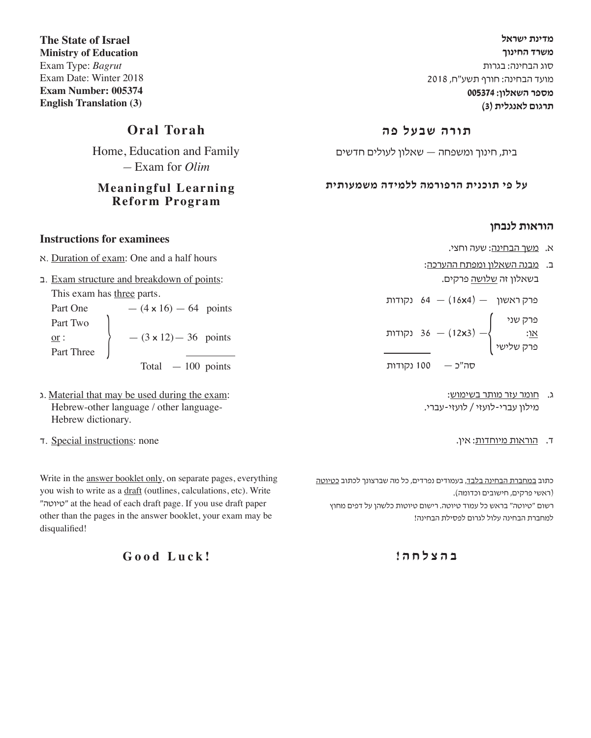**מדינת ישראל משרד החינוך** סוג הבחינה: בגרות מועד הבחינה: חורף תשע"ח, 2018 **מספר השאלון: 005374 תרגום לאנגלית )3(**

#### **תורה שבעל פה**

בית, חינוך ומשפחה — שאלון לעולים חדשים

#### **על פי תוכנית הרפורמה ללמידה משמעותית**

#### **הוראות לנבחן**

- א. משך הבחינה: שעה וחצי.
- ב. מבנה השאלון ומפתח ההערכה: בשאלון זה <u>שלושה</u> פרקים.

פרק ראשון — )4**x**16 — )64 נקודות

פרק שני א<u>ו</u>: 36 — (12x3) — 36 נקודות<br>פרק שלישי

סה"כ — 100 נקודות

- ג. חומר עזר מותר בשימוש: מילון עברי-לועזי / לועזי-עברי.
	- ד. הוראות מיוחדות: אין.

כתוב <u>במחברת הבחינה בלבד,</u> בעמודים נפרדים, כל מה שברצונך לכתוב <u>כטיוטה</u> )ראשי פרקים, חישובים וכדומה(.

רשום "טיוטה" בראש כל עמוד טיוטה. רישום טיוטות כלשהן על דפים מחוץ למחברת הבחינה עלול לגרום לפסילת הבחינה!

**ב ה צ ל ח ה !**

**The State of Israel Ministry of Education** Exam Type: *Bagrut* Exam Date: Winter 2018 **Exam Number: 005374 English Translation (3)**

## **Oral Torah**

Home, Education and Family — Exam for *Olim*

#### **Meaningful Learning Reform Program**

#### **Instructions for examinees**

- א. Duration of exam: One and a half hours
- ב. Exam structure and breakdown of points: This exam has three parts.

Part One  $- (4 \times 16) - 64$  points Part Two or :  $\left\{\n\begin{array}{c}\n-(3 \times 12) - 36 \\
- \text{12} \times 12\n\end{array}\n\right\}$ 

Total — 100 points

- ג. Material that may be used during the exam: Hebrew-other language / other language-Hebrew dictionary.
- ד. Special instructions: none

Write in the answer booklet only, on separate pages, everything you wish to write as a draft (outlines, calculations, etc). Write "טיוטה "at the head of each draft page. If you use draft paper other than the pages in the answer booklet, your exam may be disqualified!

**Good Luck!**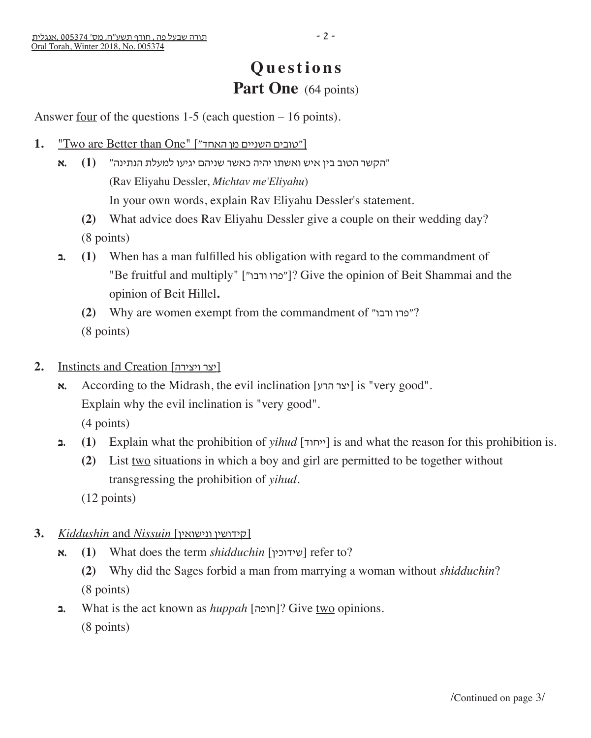## **Questions** Part One (64 points)

Answer four of the questions 1-5 (each question – 16 points).

- 1. "Two are Better than One" ["טובים השניים מן האחד"]
	- "הקשר הטוב בין איש ואשתו יהיה כאשר שניהם יגיעו למעלת הנתינה" **(1) .א** (Rav Eliyahu Dessler, *Michtav me'Eliyahu*) In your own words, explain Rav Eliyahu Dessler's statement.
		- **(2)** What advice does Rav Eliyahu Dessler give a couple on their wedding day? (8 points)
	- **ב.) 1 (**When has a man fulfilled his obligation with regard to the commandment of "Be fruitful and multiply" ["מרו ורבו"]? Give the opinion of Beit Shammai and the opinion of Beit Hillel**.**
		- **(2)** Why are women exempt from the commandment of "ורבו פרו?" (8 points)
- **2.** Instincts and Creation [ויצירה יצר[
	- **x.** According to the Midrash, the evil inclination  $[\forall x$  [is "very good". Explain why the evil inclination is "very good". (4 points)
	- **ב**, (1) Explain what the prohibition of *yihud* [ייחוד] is and what the reason for this prohibition is.
		- **(2)** List two situations in which a boy and girl are permitted to be together without transgressing the prohibition of *yihud*.

(12 points)

- **3.** *Kiddushin* and *Nissuin* [ונישואין קידושין[
	- **א.) 1 (**What does the term *shidduchin* [שידוכין [refer to?
		- **(2)** Why did the Sages forbid a man from marrying a woman without *shidduchin*? (8 points)
	- **ב.** What is the act known as *huppah* [חופה ?[Give two opinions.
		- (8 points)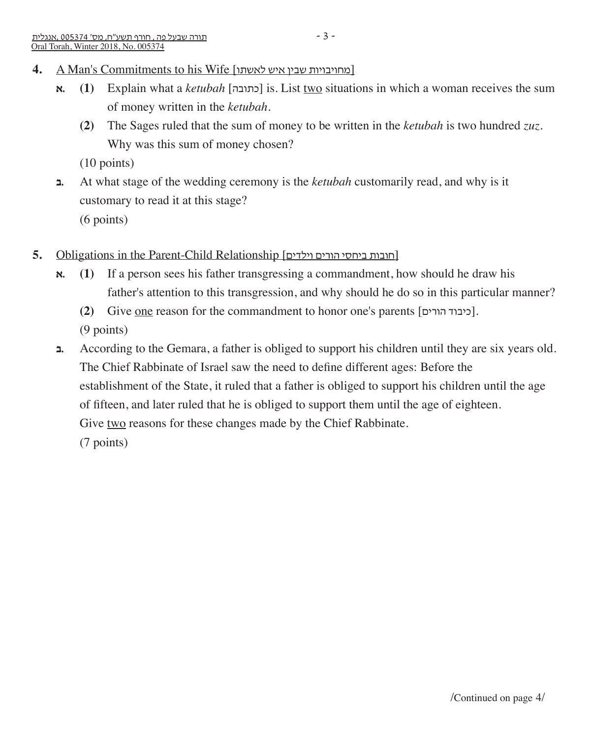- **א.) 1 (**Explain what a *ketubah* [כתובה [is. List two situations in which a woman receives the sum of money written in the *ketubah*.
	- **(2)** The Sages ruled that the sum of money to be written in the *ketubah* is two hundred *zuz*. Why was this sum of money chosen?

(10 points)

- **ב.** At what stage of the wedding ceremony is the *ketubah* customarily read, and why is it customary to read it at this stage? (6 points)
- **5.** Obligations in the Parent-Child Relationship [וילדים הורים ביחסי חובות[
	- **א.) 1 (**If a person sees his father transgressing a commandment, how should he draw his father's attention to this transgression, and why should he do so in this particular manner?
		- **(2)** Give <u>one</u> reason for the commandment to honor one's parents [כיבוד הורים]. (9 points)
	- **ב.** According to the Gemara, a father is obliged to support his children until they are six years old. The Chief Rabbinate of Israel saw the need to define different ages: Before the establishment of the State, it ruled that a father is obliged to support his children until the age of fifteen, and later ruled that he is obliged to support them until the age of eighteen. Give two reasons for these changes made by the Chief Rabbinate. (7 points)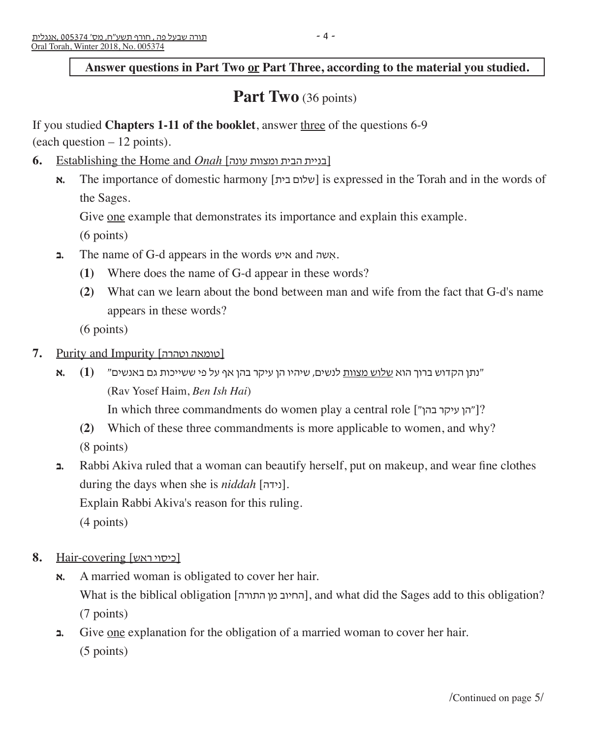## **Answer questions in Part Two or Part Three, according to the material you studied.**

## Part Two (36 points)

#### If you studied **Chapters 1-11 of the booklet**, answer three of the questions 6-9

(each question – 12 points).

- **6.** Establishing the Home and *Onah* [עונה ומצוות הבית בניית[
	- **א. The importance of domestic harmony [שלום בית]** is expressed in the Torah and in the words of the Sages.

Give <u>one</u> example that demonstrates its importance and explain this example.

(6 points)

- **ב.** The name of G-d appears in the words איש and שה ִא.
	- **(1)** Where does the name of G-d appear in these words?
	- **(2)** What can we learn about the bond between man and wife from the fact that G-d's name appears in these words?

(6 points)

- **7.** Purity and Impurity [כומאה וטהרה]
	- "נתן הקדוש ברוך הוא שלוש מצוות לנשים, שיהיו הן עיקר בהן אף על פי ששייכות גם באנשים" **(1) .א** (Rav Yosef Haim, *Ben Ish Hai*)

In which three commandments do women play a central role ["בהן עיקר הן?["

- **(2)** Which of these three commandments is more applicable to women, and why? (8 points)
- **ב.** Rabbi Akiva ruled that a woman can beautify herself, put on makeup, and wear fine clothes during the days when she is *niddah* [נידה[. Explain Rabbi Akiva's reason for this ruling. (4 points)
- [כיסוי ראש] covering-Hair **8.**
	- **א.** A married woman is obligated to cover her hair. What is the biblical obligation [החיוב מן התורה], and what did the Sages add to this obligation? (7 points)
	- $\Box$  Give <u>one</u> explanation for the obligation of a married woman to cover her hair. (5 points)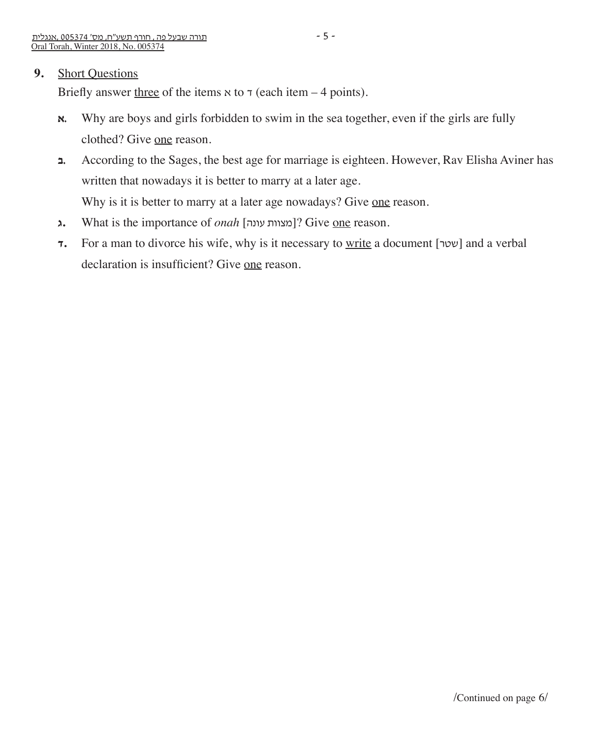#### **9.** Short Questions

Briefly answer three of the items  $x$  to  $\tau$  (each item – 4 points).

- **x.** Why are boys and girls forbidden to swim in the sea together, even if the girls are fully clothed? Give one reason.
- **ב.** According to the Sages, the best age for marriage is eighteen. However, Rav Elisha Aviner has written that nowadays it is better to marry at a later age. Why is it is better to marry at a later age nowadays? Give one reason.
- **ג.** What is the importance of *onah* [מצוות עונה]? Give <u>one</u> reason.
- **7.** For a man to divorce his wife, why is it necessary to write a document [שטר] and a verbal declaration is insufficient? Give one reason.